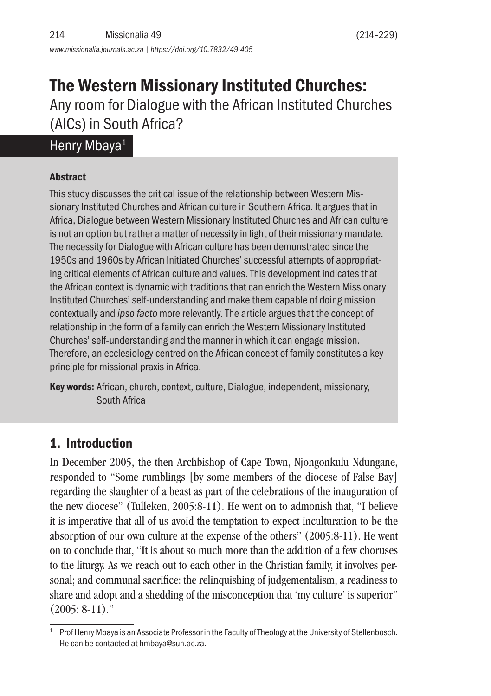*www.missionalia.journals.ac.za | https://doi.org/10.7832/49-405*

# The Western Missionary Instituted Churches:

Any room for Dialogue with the African Instituted Churches (AICs) in South Africa?

## Henry Mbaya<sup>1</sup>

## Abstract

This study discusses the critical issue of the relationship between Western Missionary Instituted Churches and African culture in Southern Africa. It argues that in Africa, Dialogue between Western Missionary Instituted Churches and African culture is not an option but rather a matter of necessity in light of their missionary mandate. The necessity for Dialogue with African culture has been demonstrated since the 1950s and 1960s by African Initiated Churches' successful attempts of appropriating critical elements of African culture and values. This development indicates that the African context is dynamic with traditions that can enrich the Western Missionary Instituted Churches' self-understanding and make them capable of doing mission contextually and *ipso facto* more relevantly. The article argues that the concept of relationship in the form of a family can enrich the Western Missionary Instituted Churches' self-understanding and the manner in which it can engage mission. Therefore, an ecclesiology centred on the African concept of family constitutes a key principle for missional praxis in Africa.

Key words: African, church, context, culture, Dialogue, independent, missionary, South Africa

## 1. Introduction

In December 2005, the then Archbishop of Cape Town, Njongonkulu Ndungane, responded to "Some rumblings [by some members of the diocese of False Bay] regarding the slaughter of a beast as part of the celebrations of the inauguration of the new diocese" (Tulleken, 2005:8-11). He went on to admonish that, "I believe it is imperative that all of us avoid the temptation to expect inculturation to be the absorption of our own culture at the expense of the others" (2005:8-11). He went on to conclude that, "It is about so much more than the addition of a few choruses to the liturgy. As we reach out to each other in the Christian family, it involves personal; and communal sacrifice: the relinquishing of judgementalism, a readiness to share and adopt and a shedding of the misconception that 'my culture' is superior" (2005: 8-11)."

<sup>1</sup> Prof Henry Mbaya is an Associate Professor in the Faculty of Theology at the University of Stellenbosch. He can be contacted at hmbaya@sun.ac.za.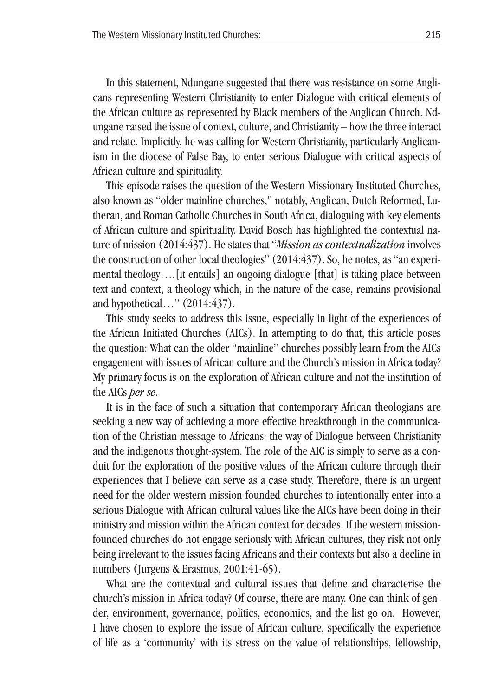In this statement, Ndungane suggested that there was resistance on some Anglicans representing Western Christianity to enter Dialogue with critical elements of the African culture as represented by Black members of the Anglican Church. Ndungane raised the issue of context, culture, and Christianity – how the three interact and relate. Implicitly, he was calling for Western Christianity, particularly Anglicanism in the diocese of False Bay, to enter serious Dialogue with critical aspects of African culture and spirituality.

This episode raises the question of the Western Missionary Instituted Churches, also known as "older mainline churches," notably, Anglican, Dutch Reformed, Lutheran, and Roman Catholic Churches in South Africa, dialoguing with key elements of African culture and spirituality. David Bosch has highlighted the contextual nature of mission (2014:437). He states that "*Mission as contextualization* involves the construction of other local theologies" (2014:437). So, he notes, as "an experimental theology….[it entails] an ongoing dialogue [that] is taking place between text and context, a theology which, in the nature of the case, remains provisional and hypothetical…" (2014:437).

This study seeks to address this issue, especially in light of the experiences of the African Initiated Churches (AICs). In attempting to do that, this article poses the question: What can the older "mainline" churches possibly learn from the AICs engagement with issues of African culture and the Church's mission in Africa today? My primary focus is on the exploration of African culture and not the institution of the AICs *per se*.

It is in the face of such a situation that contemporary African theologians are seeking a new way of achieving a more effective breakthrough in the communication of the Christian message to Africans: the way of Dialogue between Christianity and the indigenous thought-system. The role of the AIC is simply to serve as a conduit for the exploration of the positive values of the African culture through their experiences that I believe can serve as a case study. Therefore, there is an urgent need for the older western mission-founded churches to intentionally enter into a serious Dialogue with African cultural values like the AICs have been doing in their ministry and mission within the African context for decades. If the western missionfounded churches do not engage seriously with African cultures, they risk not only being irrelevant to the issues facing Africans and their contexts but also a decline in numbers (Jurgens & Erasmus, 2001:41-65).

What are the contextual and cultural issues that define and characterise the church's mission in Africa today? Of course, there are many. One can think of gender, environment, governance, politics, economics, and the list go on. However, I have chosen to explore the issue of African culture, specifically the experience of life as a 'community' with its stress on the value of relationships, fellowship,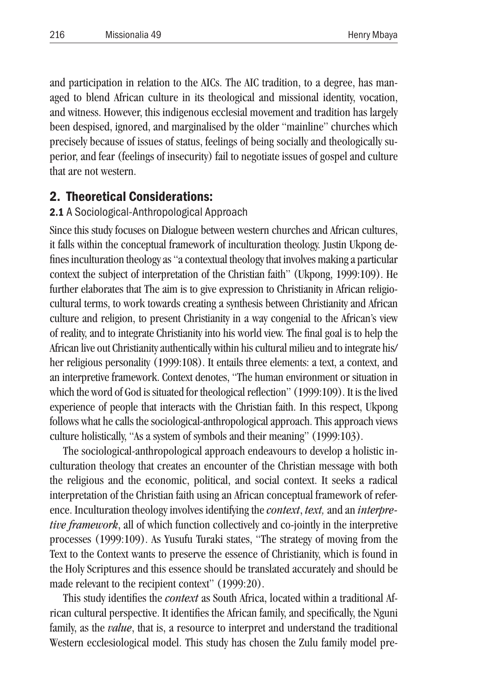and participation in relation to the AICs. The AIC tradition, to a degree, has managed to blend African culture in its theological and missional identity, vocation, and witness. However, this indigenous ecclesial movement and tradition has largely been despised, ignored, and marginalised by the older "mainline" churches which precisely because of issues of status, feelings of being socially and theologically superior, and fear (feelings of insecurity) fail to negotiate issues of gospel and culture that are not western.

## 2. Theoretical Considerations:

#### 2.1 A Sociological-Anthropological Approach

Since this study focuses on Dialogue between western churches and African cultures, it falls within the conceptual framework of inculturation theology. Justin Ukpong defines inculturation theology as "a contextual theology that involves making a particular context the subject of interpretation of the Christian faith" (Ukpong, 1999:109). He further elaborates that The aim is to give expression to Christianity in African religiocultural terms, to work towards creating a synthesis between Christianity and African culture and religion, to present Christianity in a way congenial to the African's view of reality, and to integrate Christianity into his world view. The final goal is to help the African live out Christianity authentically within his cultural milieu and to integrate his/ her religious personality (1999:108). It entails three elements: a text, a context, and an interpretive framework. Context denotes, "The human environment or situation in which the word of God is situated for theological reflection" (1999:109). It is the lived experience of people that interacts with the Christian faith. In this respect, Ukpong follows what he calls the sociological-anthropological approach. This approach views culture holistically, "As a system of symbols and their meaning" (1999:103).

The sociological-anthropological approach endeavours to develop a holistic inculturation theology that creates an encounter of the Christian message with both the religious and the economic, political, and social context. It seeks a radical interpretation of the Christian faith using an African conceptual framework of reference. Inculturation theology involves identifying the *context*, *text,* and an *interpretive framework*, all of which function collectively and co-jointly in the interpretive processes (1999:109). As Yusufu Turaki states, "The strategy of moving from the Text to the Context wants to preserve the essence of Christianity, which is found in the Holy Scriptures and this essence should be translated accurately and should be made relevant to the recipient context" (1999:20).

This study identifies the *context* as South Africa, located within a traditional African cultural perspective. It identifies the African family, and specifically, the Nguni family, as the *value*, that is, a resource to interpret and understand the traditional Western ecclesiological model. This study has chosen the Zulu family model pre-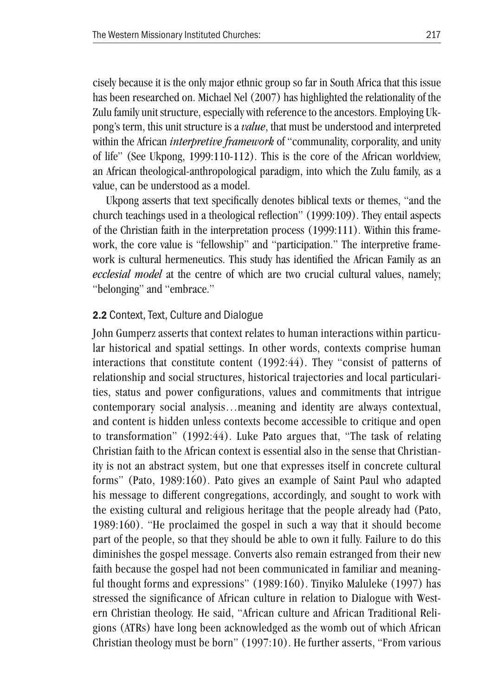cisely because it is the only major ethnic group so far in South Africa that this issue has been researched on. Michael Nel (2007) has highlighted the relationality of the Zulu family unit structure, especially with reference to the ancestors. Employing Ukpong's term, this unit structure is a *value*, that must be understood and interpreted within the African *interpretive framework* of "communality, corporality, and unity of life" (See Ukpong, 1999:110-112). This is the core of the African worldview, an African theological-anthropological paradigm, into which the Zulu family, as a value, can be understood as a model.

Ukpong asserts that text specifically denotes biblical texts or themes, "and the church teachings used in a theological reflection" (1999:109). They entail aspects of the Christian faith in the interpretation process (1999:111). Within this framework, the core value is "fellowship" and "participation." The interpretive framework is cultural hermeneutics. This study has identified the African Family as an *ecclesial model* at the centre of which are two crucial cultural values, namely; "belonging" and "embrace."

#### 2.2 Context, Text, Culture and Dialogue

John Gumperz asserts that context relates to human interactions within particular historical and spatial settings. In other words, contexts comprise human interactions that constitute content (1992:44). They "consist of patterns of relationship and social structures, historical trajectories and local particularities, status and power configurations, values and commitments that intrigue contemporary social analysis…meaning and identity are always contextual, and content is hidden unless contexts become accessible to critique and open to transformation" (1992:44). Luke Pato argues that, "The task of relating Christian faith to the African context is essential also in the sense that Christianity is not an abstract system, but one that expresses itself in concrete cultural forms" (Pato, 1989:160). Pato gives an example of Saint Paul who adapted his message to different congregations, accordingly, and sought to work with the existing cultural and religious heritage that the people already had (Pato, 1989:160). "He proclaimed the gospel in such a way that it should become part of the people, so that they should be able to own it fully. Failure to do this diminishes the gospel message. Converts also remain estranged from their new faith because the gospel had not been communicated in familiar and meaningful thought forms and expressions" (1989:160). Tinyiko Maluleke (1997) has stressed the significance of African culture in relation to Dialogue with Western Christian theology. He said, "African culture and African Traditional Religions (ATRs) have long been acknowledged as the womb out of which African Christian theology must be born" (1997:10). He further asserts, "From various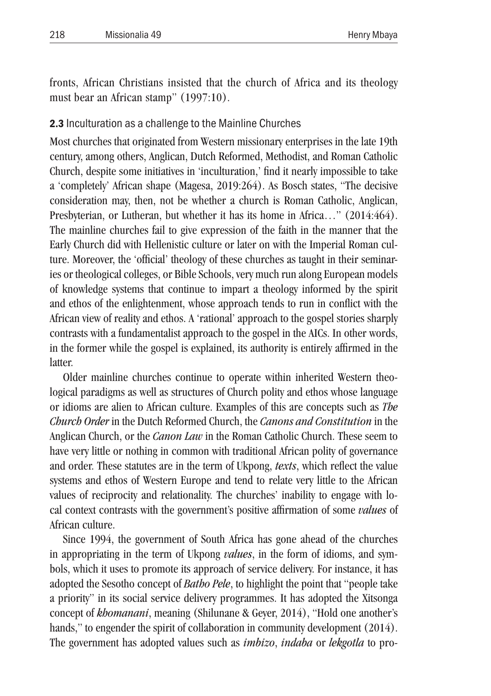fronts, African Christians insisted that the church of Africa and its theology must bear an African stamp" (1997:10).

### 2.3 Inculturation as a challenge to the Mainline Churches

Most churches that originated from Western missionary enterprises in the late 19th century, among others, Anglican, Dutch Reformed, Methodist, and Roman Catholic Church, despite some initiatives in 'inculturation,' find it nearly impossible to take a 'completely' African shape (Magesa, 2019:264). As Bosch states, "The decisive consideration may, then, not be whether a church is Roman Catholic, Anglican, Presbyterian, or Lutheran, but whether it has its home in Africa…" (2014:464). The mainline churches fail to give expression of the faith in the manner that the Early Church did with Hellenistic culture or later on with the Imperial Roman culture. Moreover, the 'official' theology of these churches as taught in their seminaries or theological colleges, or Bible Schools, very much run along European models of knowledge systems that continue to impart a theology informed by the spirit and ethos of the enlightenment, whose approach tends to run in conflict with the African view of reality and ethos. A 'rational' approach to the gospel stories sharply contrasts with a fundamentalist approach to the gospel in the AICs. In other words, in the former while the gospel is explained, its authority is entirely affirmed in the **latter** 

Older mainline churches continue to operate within inherited Western theological paradigms as well as structures of Church polity and ethos whose language or idioms are alien to African culture. Examples of this are concepts such as *The Church Order* in the Dutch Reformed Church, the *Canons and Constitution* in the Anglican Church, or the *Canon Law* in the Roman Catholic Church. These seem to have very little or nothing in common with traditional African polity of governance and order. These statutes are in the term of Ukpong, *texts*, which reflect the value systems and ethos of Western Europe and tend to relate very little to the African values of reciprocity and relationality. The churches' inability to engage with local context contrasts with the government's positive affirmation of some *values* of African culture.

Since 1994, the government of South Africa has gone ahead of the churches in appropriating in the term of Ukpong *values*, in the form of idioms, and symbols, which it uses to promote its approach of service delivery. For instance, it has adopted the Sesotho concept of *Batho Pele*, to highlight the point that "people take a priority" in its social service delivery programmes. It has adopted the Xitsonga concept of *khomanani*, meaning (Shilunane & Geyer, 2014), "Hold one another's hands," to engender the spirit of collaboration in community development (2014). The government has adopted values such as *imbizo*, *indaba* or *lekgotla* to pro-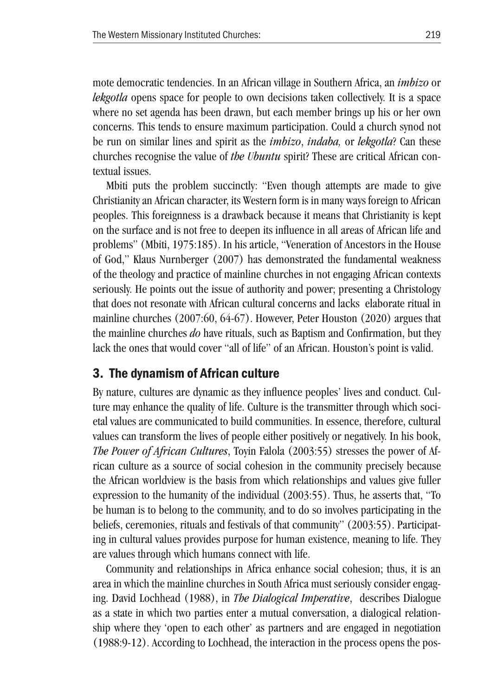mote democratic tendencies. In an African village in Southern Africa, an *imbizo* or *lekgotla* opens space for people to own decisions taken collectively. It is a space where no set agenda has been drawn, but each member brings up his or her own concerns. This tends to ensure maximum participation. Could a church synod not be run on similar lines and spirit as the *imbizo*, *indaba,* or *lekgotla*? Can these churches recognise the value of *the Ubuntu* spirit? These are critical African contextual issues.

Mbiti puts the problem succinctly: "Even though attempts are made to give Christianity an African character, its Western form is in many ways foreign to African peoples. This foreignness is a drawback because it means that Christianity is kept on the surface and is not free to deepen its influence in all areas of African life and problems" (Mbiti, 1975:185). In his article, "Veneration of Ancestors in the House of God," Klaus Nurnberger (2007) has demonstrated the fundamental weakness of the theology and practice of mainline churches in not engaging African contexts seriously. He points out the issue of authority and power; presenting a Christology that does not resonate with African cultural concerns and lacks elaborate ritual in mainline churches (2007:60, 64-67). However, Peter Houston (2020) argues that the mainline churches *do* have rituals, such as Baptism and Confirmation, but they lack the ones that would cover "all of life" of an African. Houston's point is valid.

## 3. The dynamism of African culture

By nature, cultures are dynamic as they influence peoples' lives and conduct. Culture may enhance the quality of life. Culture is the transmitter through which societal values are communicated to build communities. In essence, therefore, cultural values can transform the lives of people either positively or negatively. In his book, *The Power of African Cultures*, Toyin Falola (2003:55) stresses the power of African culture as a source of social cohesion in the community precisely because the African worldview is the basis from which relationships and values give fuller expression to the humanity of the individual (2003:55). Thus, he asserts that, "To be human is to belong to the community, and to do so involves participating in the beliefs, ceremonies, rituals and festivals of that community" (2003:55). Participating in cultural values provides purpose for human existence, meaning to life. They are values through which humans connect with life.

Community and relationships in Africa enhance social cohesion; thus, it is an area in which the mainline churches in South Africa must seriously consider engaging. David Lochhead (1988), in *The Dialogical Imperative*, describes Dialogue as a state in which two parties enter a mutual conversation, a dialogical relationship where they 'open to each other' as partners and are engaged in negotiation (1988:9-12). According to Lochhead, the interaction in the process opens the pos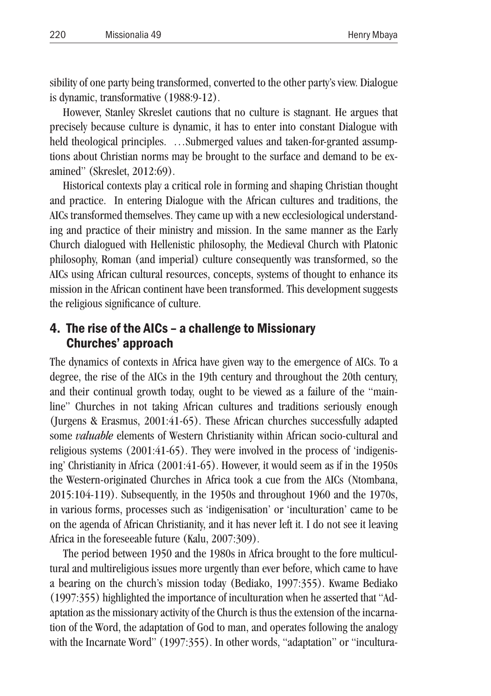sibility of one party being transformed, converted to the other party's view. Dialogue is dynamic, transformative (1988:9-12).

However, Stanley Skreslet cautions that no culture is stagnant. He argues that precisely because culture is dynamic, it has to enter into constant Dialogue with held theological principles. …Submerged values and taken-for-granted assumptions about Christian norms may be brought to the surface and demand to be examined" (Skreslet, 2012:69).

Historical contexts play a critical role in forming and shaping Christian thought and practice. In entering Dialogue with the African cultures and traditions, the AICs transformed themselves. They came up with a new ecclesiological understanding and practice of their ministry and mission. In the same manner as the Early Church dialogued with Hellenistic philosophy, the Medieval Church with Platonic philosophy, Roman (and imperial) culture consequently was transformed, so the AICs using African cultural resources, concepts, systems of thought to enhance its mission in the African continent have been transformed. This development suggests the religious significance of culture.

## 4. The rise of the AICs – a challenge to Missionary Churches' approach

The dynamics of contexts in Africa have given way to the emergence of AICs. To a degree, the rise of the AICs in the 19th century and throughout the 20th century, and their continual growth today, ought to be viewed as a failure of the "mainline" Churches in not taking African cultures and traditions seriously enough (Jurgens & Erasmus, 2001:41-65). These African churches successfully adapted some *valuable* elements of Western Christianity within African socio-cultural and religious systems (2001:41-65). They were involved in the process of 'indigenising' Christianity in Africa (2001:41-65). However, it would seem as if in the 1950s the Western-originated Churches in Africa took a cue from the AICs (Ntombana, 2015:104-119). Subsequently, in the 1950s and throughout 1960 and the 1970s, in various forms, processes such as 'indigenisation' or 'inculturation' came to be on the agenda of African Christianity, and it has never left it. I do not see it leaving Africa in the foreseeable future (Kalu, 2007:309).

The period between 1950 and the 1980s in Africa brought to the fore multicultural and multireligious issues more urgently than ever before, which came to have a bearing on the church's mission today (Bediako, 1997:355). Kwame Bediako (1997:355) highlighted the importance of inculturation when he asserted that "Adaptation as the missionary activity of the Church is thus the extension of the incarnation of the Word, the adaptation of God to man, and operates following the analogy with the Incarnate Word" (1997:355). In other words, "adaptation" or "incultura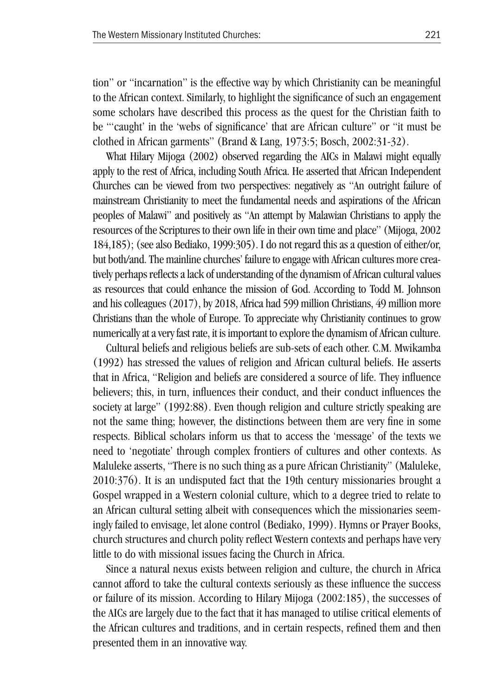tion" or "incarnation" is the effective way by which Christianity can be meaningful to the African context. Similarly, to highlight the significance of such an engagement some scholars have described this process as the quest for the Christian faith to be "'caught' in the 'webs of significance' that are African culture" or "it must be clothed in African garments" (Brand & Lang, 1973:5; Bosch, 2002:31-32).

What Hilary Mijoga (2002) observed regarding the AICs in Malawi might equally apply to the rest of Africa, including South Africa. He asserted that African Independent Churches can be viewed from two perspectives: negatively as "An outright failure of mainstream Christianity to meet the fundamental needs and aspirations of the African peoples of Malawi" and positively as "An attempt by Malawian Christians to apply the resources of the Scriptures to their own life in their own time and place" (Mijoga, 2002 184,185); (see also Bediako, 1999:305). I do not regard this as a question of either/or, but both/and. The mainline churches' failure to engage with African cultures more creatively perhaps reflects a lack of understanding of the dynamism of African cultural values as resources that could enhance the mission of God. According to Todd M. Johnson and his colleagues (2017), by 2018, Africa had 599 million Christians, 49 million more Christians than the whole of Europe. To appreciate why Christianity continues to grow numerically at a very fast rate, it is important to explore the dynamism of African culture.

Cultural beliefs and religious beliefs are sub-sets of each other. C.M. Mwikamba (1992) has stressed the values of religion and African cultural beliefs. He asserts that in Africa, "Religion and beliefs are considered a source of life. They influence believers; this, in turn, influences their conduct, and their conduct influences the society at large" (1992:88). Even though religion and culture strictly speaking are not the same thing; however, the distinctions between them are very fine in some respects. Biblical scholars inform us that to access the 'message' of the texts we need to 'negotiate' through complex frontiers of cultures and other contexts. As Maluleke asserts, "There is no such thing as a pure African Christianity" (Maluleke, 2010:376). It is an undisputed fact that the 19th century missionaries brought a Gospel wrapped in a Western colonial culture, which to a degree tried to relate to an African cultural setting albeit with consequences which the missionaries seemingly failed to envisage, let alone control (Bediako, 1999). Hymns or Prayer Books, church structures and church polity reflect Western contexts and perhaps have very little to do with missional issues facing the Church in Africa.

Since a natural nexus exists between religion and culture, the church in Africa cannot afford to take the cultural contexts seriously as these influence the success or failure of its mission. According to Hilary Mijoga (2002:185), the successes of the AICs are largely due to the fact that it has managed to utilise critical elements of the African cultures and traditions, and in certain respects, refined them and then presented them in an innovative way.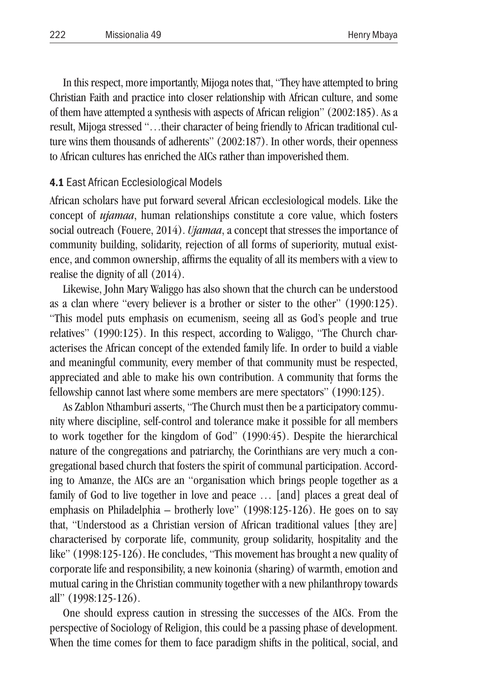In this respect, more importantly, Mijoga notes that, "They have attempted to bring Christian Faith and practice into closer relationship with African culture, and some of them have attempted a synthesis with aspects of African religion" (2002:185). As a result, Mijoga stressed "…their character of being friendly to African traditional culture wins them thousands of adherents" (2002:187). In other words, their openness to African cultures has enriched the AICs rather than impoverished them.

#### 4.1 East African Ecclesiological Models

African scholars have put forward several African ecclesiological models. Like the concept of *ujamaa*, human relationships constitute a core value, which fosters social outreach (Fouere, 2014). *Ujamaa*, a concept that stresses the importance of community building, solidarity, rejection of all forms of superiority, mutual existence, and common ownership, affirms the equality of all its members with a view to realise the dignity of all (2014).

Likewise, John Mary Waliggo has also shown that the church can be understood as a clan where "every believer is a brother or sister to the other" (1990:125). "This model puts emphasis on ecumenism, seeing all as God's people and true relatives" (1990:125). In this respect, according to Waliggo, "The Church characterises the African concept of the extended family life. In order to build a viable and meaningful community, every member of that community must be respected, appreciated and able to make his own contribution. A community that forms the fellowship cannot last where some members are mere spectators" (1990:125).

As Zablon Nthamburi asserts, "The Church must then be a participatory community where discipline, self-control and tolerance make it possible for all members to work together for the kingdom of God" (1990:45). Despite the hierarchical nature of the congregations and patriarchy, the Corinthians are very much a congregational based church that fosters the spirit of communal participation. According to Amanze, the AICs are an "organisation which brings people together as a family of God to live together in love and peace … [and] places a great deal of emphasis on Philadelphia – brotherly love" (1998:125-126). He goes on to say that, "Understood as a Christian version of African traditional values [they are] characterised by corporate life, community, group solidarity, hospitality and the like" (1998:125-126). He concludes, "This movement has brought a new quality of corporate life and responsibility, a new koinonia (sharing) of warmth, emotion and mutual caring in the Christian community together with a new philanthropy towards all" (1998:125-126).

One should express caution in stressing the successes of the AICs. From the perspective of Sociology of Religion, this could be a passing phase of development. When the time comes for them to face paradigm shifts in the political, social, and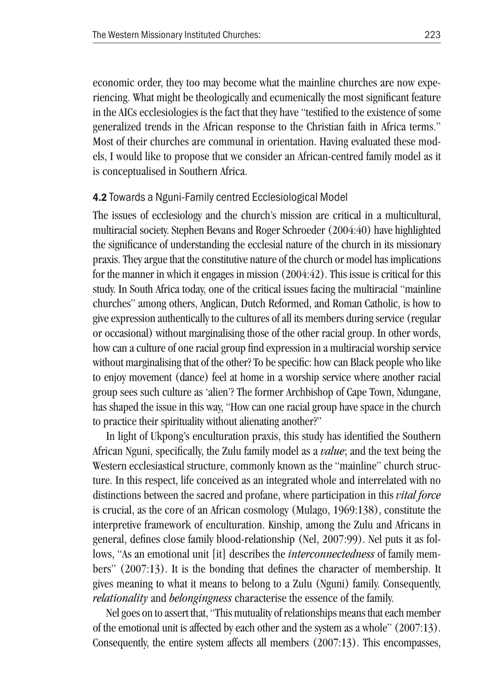economic order, they too may become what the mainline churches are now experiencing. What might be theologically and ecumenically the most significant feature in the AICs ecclesiologies is the fact that they have "testified to the existence of some generalized trends in the African response to the Christian faith in Africa terms." Most of their churches are communal in orientation. Having evaluated these models, I would like to propose that we consider an African-centred family model as it is conceptualised in Southern Africa.

#### 4.2 Towards a Nguni-Family centred Ecclesiological Model

The issues of ecclesiology and the church's mission are critical in a multicultural, multiracial society. Stephen Bevans and Roger Schroeder (2004:40) have highlighted the significance of understanding the ecclesial nature of the church in its missionary praxis. They argue that the constitutive nature of the church or model has implications for the manner in which it engages in mission (2004:42). This issue is critical for this study. In South Africa today, one of the critical issues facing the multiracial "mainline churches" among others, Anglican, Dutch Reformed, and Roman Catholic, is how to give expression authentically to the cultures of all its members during service (regular or occasional) without marginalising those of the other racial group. In other words, how can a culture of one racial group find expression in a multiracial worship service without marginalising that of the other? To be specific: how can Black people who like to enjoy movement (dance) feel at home in a worship service where another racial group sees such culture as 'alien'? The former Archbishop of Cape Town, Ndungane, has shaped the issue in this way, "How can one racial group have space in the church to practice their spirituality without alienating another?"

In light of Ukpong's enculturation praxis, this study has identified the Southern African Nguni, specifically, the Zulu family model as a *value*; and the text being the Western ecclesiastical structure, commonly known as the "mainline" church structure. In this respect, life conceived as an integrated whole and interrelated with no distinctions between the sacred and profane, where participation in this *vital force* is crucial, as the core of an African cosmology (Mulago, 1969:138), constitute the interpretive framework of enculturation. Kinship, among the Zulu and Africans in general, defines close family blood-relationship (Nel, 2007:99). Nel puts it as follows, "As an emotional unit [it] describes the *interconnectedness* of family members" (2007:13). It is the bonding that defines the character of membership. It gives meaning to what it means to belong to a Zulu (Nguni) family. Consequently, *relationality* and *belongingness* characterise the essence of the family.

Nel goes on to assert that, "This mutuality of relationships means that each member of the emotional unit is affected by each other and the system as a whole" (2007:13). Consequently, the entire system affects all members (2007:13). This encompasses,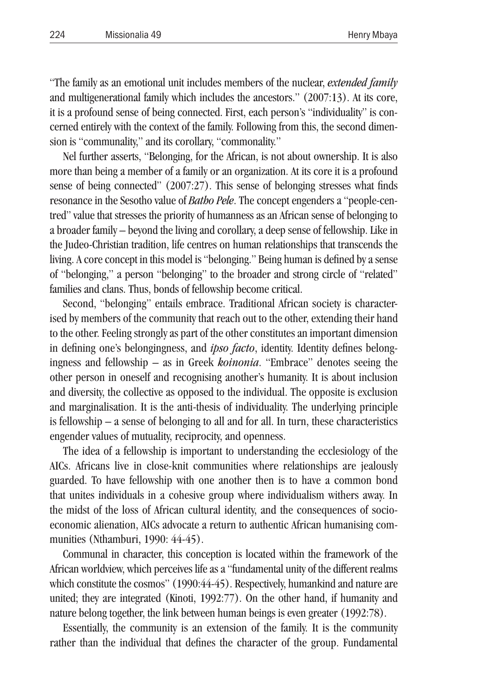"The family as an emotional unit includes members of the nuclear, *extended family* and multigenerational family which includes the ancestors." (2007:13). At its core, it is a profound sense of being connected. First, each person's "individuality" is concerned entirely with the context of the family. Following from this, the second dimension is "communality," and its corollary, "commonality."

Nel further asserts, "Belonging, for the African, is not about ownership. It is also more than being a member of a family or an organization. At its core it is a profound sense of being connected" (2007:27). This sense of belonging stresses what finds resonance in the Sesotho value of *Batho Pele*. The concept engenders a "people-centred" value that stresses the priority of humanness as an African sense of belonging to a broader family – beyond the living and corollary, a deep sense of fellowship. Like in the Judeo-Christian tradition, life centres on human relationships that transcends the living. A core concept in this model is "belonging." Being human is defined by a sense of "belonging," a person "belonging" to the broader and strong circle of "related" families and clans. Thus, bonds of fellowship become critical.

Second, "belonging" entails embrace. Traditional African society is characterised by members of the community that reach out to the other, extending their hand to the other. Feeling strongly as part of the other constitutes an important dimension in defining one's belongingness, and *ipso facto*, identity. Identity defines belongingness and fellowship – as in Greek *koinonia*. "Embrace" denotes seeing the other person in oneself and recognising another's humanity. It is about inclusion and diversity, the collective as opposed to the individual. The opposite is exclusion and marginalisation. It is the anti-thesis of individuality. The underlying principle is fellowship – a sense of belonging to all and for all. In turn, these characteristics engender values of mutuality, reciprocity, and openness.

The idea of a fellowship is important to understanding the ecclesiology of the AICs. Africans live in close-knit communities where relationships are jealously guarded. To have fellowship with one another then is to have a common bond that unites individuals in a cohesive group where individualism withers away. In the midst of the loss of African cultural identity, and the consequences of socioeconomic alienation, AICs advocate a return to authentic African humanising communities (Nthamburi, 1990: 44-45).

Communal in character, this conception is located within the framework of the African worldview, which perceives life as a "fundamental unity of the different realms which constitute the cosmos" (1990:44-45). Respectively, humankind and nature are united; they are integrated (Kinoti, 1992:77). On the other hand, if humanity and nature belong together, the link between human beings is even greater (1992:78).

Essentially, the community is an extension of the family. It is the community rather than the individual that defines the character of the group. Fundamental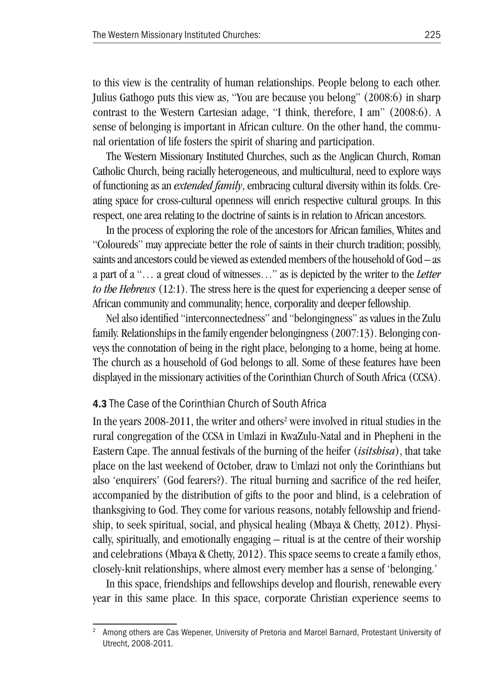to this view is the centrality of human relationships. People belong to each other. Julius Gathogo puts this view as, "You are because you belong" (2008:6) in sharp contrast to the Western Cartesian adage, "I think, therefore, I am" (2008:6). A sense of belonging is important in African culture. On the other hand, the communal orientation of life fosters the spirit of sharing and participation.

The Western Missionary Instituted Churches, such as the Anglican Church, Roman Catholic Church, being racially heterogeneous, and multicultural, need to explore ways of functioning as an *extended family*, embracing cultural diversity within its folds. Creating space for cross-cultural openness will enrich respective cultural groups. In this respect, one area relating to the doctrine of saints is in relation to African ancestors.

In the process of exploring the role of the ancestors for African families, Whites and "Coloureds" may appreciate better the role of saints in their church tradition; possibly, saints and ancestors could be viewed as extended members of the household of God – as a part of a "… a great cloud of witnesses…" as is depicted by the writer to the *Letter to the Hebrews* (12:1). The stress here is the quest for experiencing a deeper sense of African community and communality; hence, corporality and deeper fellowship.

Nel also identified "interconnectedness" and "belongingness" as values in the Zulu family. Relationships in the family engender belongingness (2007:13). Belonging conveys the connotation of being in the right place, belonging to a home, being at home. The church as a household of God belongs to all. Some of these features have been displayed in the missionary activities of the Corinthian Church of South Africa (CCSA).

#### 4.3 The Case of the Corinthian Church of South Africa

In the years  $2008-2011$ , the writer and others<sup>2</sup> were involved in ritual studies in the rural congregation of the CCSA in Umlazi in KwaZulu-Natal and in Phepheni in the Eastern Cape. The annual festivals of the burning of the heifer (*isitshisa*), that take place on the last weekend of October, draw to Umlazi not only the Corinthians but also 'enquirers' (God fearers?). The ritual burning and sacrifice of the red heifer, accompanied by the distribution of gifts to the poor and blind, is a celebration of thanksgiving to God. They come for various reasons, notably fellowship and friendship, to seek spiritual, social, and physical healing (Mbaya & Chetty, 2012). Physically, spiritually, and emotionally engaging – ritual is at the centre of their worship and celebrations (Mbaya & Chetty, 2012). This space seems to create a family ethos, closely-knit relationships, where almost every member has a sense of 'belonging.'

In this space, friendships and fellowships develop and flourish, renewable every year in this same place. In this space, corporate Christian experience seems to

<sup>2</sup> Among others are Cas Wepener, University of Pretoria and Marcel Barnard, Protestant University of Utrecht, 2008-2011.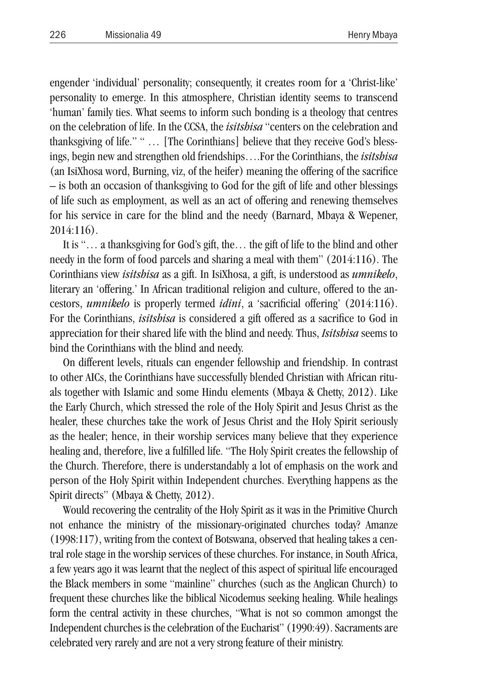engender 'individual' personality; consequently, it creates room for a 'Christ-like' personality to emerge. In this atmosphere, Christian identity seems to transcend 'human' family ties. What seems to inform such bonding is a theology that centres on the celebration of life. In the CCSA, the *isitshisa* "centers on the celebration and thanksgiving of life." " … [The Corinthians] believe that they receive God's blessings, begin new and strengthen old friendships….For the Corinthians, the *isitshisa* (an IsiXhosa word, Burning, viz, of the heifer) meaning the offering of the sacrifice – is both an occasion of thanksgiving to God for the gift of life and other blessings of life such as employment, as well as an act of offering and renewing themselves for his service in care for the blind and the needy (Barnard, Mbaya & Wepener, 2014:116).

It is "… a thanksgiving for God's gift, the… the gift of life to the blind and other needy in the form of food parcels and sharing a meal with them" (2014:116). The Corinthians view *isitshisa* as a gift. In IsiXhosa, a gift, is understood as *umnikelo*, literary an 'offering.' In African traditional religion and culture, offered to the ancestors, *umnikelo* is properly termed *idini*, a 'sacrificial offering' (2014:116). For the Corinthians, *isitshisa* is considered a gift offered as a sacrifice to God in appreciation for their shared life with the blind and needy. Thus, *Isitshisa* seems to bind the Corinthians with the blind and needy.

On different levels, rituals can engender fellowship and friendship. In contrast to other AICs, the Corinthians have successfully blended Christian with African rituals together with Islamic and some Hindu elements (Mbaya & Chetty, 2012). Like the Early Church, which stressed the role of the Holy Spirit and Jesus Christ as the healer, these churches take the work of Jesus Christ and the Holy Spirit seriously as the healer; hence, in their worship services many believe that they experience healing and, therefore, live a fulfilled life. "The Holy Spirit creates the fellowship of the Church. Therefore, there is understandably a lot of emphasis on the work and person of the Holy Spirit within Independent churches. Everything happens as the Spirit directs" (Mbaya & Chetty, 2012).

Would recovering the centrality of the Holy Spirit as it was in the Primitive Church not enhance the ministry of the missionary-originated churches today? Amanze (1998:117), writing from the context of Botswana, observed that healing takes a central role stage in the worship services of these churches. For instance, in South Africa, a few years ago it was learnt that the neglect of this aspect of spiritual life encouraged the Black members in some "mainline" churches (such as the Anglican Church) to frequent these churches like the biblical Nicodemus seeking healing. While healings form the central activity in these churches, "What is not so common amongst the Independent churches is the celebration of the Eucharist" (1990:49). Sacraments are celebrated very rarely and are not a very strong feature of their ministry.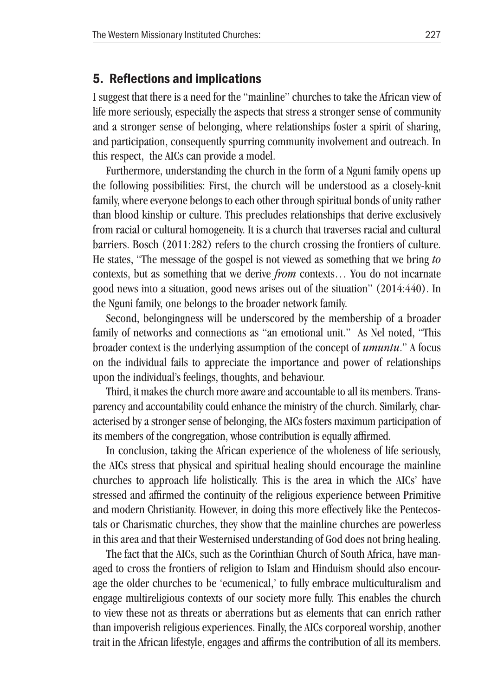## 5. Reflections and implications

I suggest that there is a need for the "mainline" churches to take the African view of life more seriously, especially the aspects that stress a stronger sense of community and a stronger sense of belonging, where relationships foster a spirit of sharing, and participation, consequently spurring community involvement and outreach. In this respect, the AICs can provide a model.

Furthermore, understanding the church in the form of a Nguni family opens up the following possibilities: First, the church will be understood as a closely-knit family, where everyone belongs to each other through spiritual bonds of unity rather than blood kinship or culture. This precludes relationships that derive exclusively from racial or cultural homogeneity. It is a church that traverses racial and cultural barriers. Bosch (2011:282) refers to the church crossing the frontiers of culture. He states, "The message of the gospel is not viewed as something that we bring *to*  contexts, but as something that we derive *from* contexts… You do not incarnate good news into a situation, good news arises out of the situation" (2014:440). In the Nguni family, one belongs to the broader network family.

Second, belongingness will be underscored by the membership of a broader family of networks and connections as "an emotional unit." As Nel noted, "This broader context is the underlying assumption of the concept of *umuntu*." A focus on the individual fails to appreciate the importance and power of relationships upon the individual's feelings, thoughts, and behaviour.

Third, it makes the church more aware and accountable to all its members. Transparency and accountability could enhance the ministry of the church. Similarly, characterised by a stronger sense of belonging, the AICs fosters maximum participation of its members of the congregation, whose contribution is equally affirmed.

In conclusion, taking the African experience of the wholeness of life seriously, the AICs stress that physical and spiritual healing should encourage the mainline churches to approach life holistically. This is the area in which the AICs' have stressed and affirmed the continuity of the religious experience between Primitive and modern Christianity. However, in doing this more effectively like the Pentecostals or Charismatic churches, they show that the mainline churches are powerless in this area and that their Westernised understanding of God does not bring healing.

The fact that the AICs, such as the Corinthian Church of South Africa, have managed to cross the frontiers of religion to Islam and Hinduism should also encourage the older churches to be 'ecumenical,' to fully embrace multiculturalism and engage multireligious contexts of our society more fully. This enables the church to view these not as threats or aberrations but as elements that can enrich rather than impoverish religious experiences. Finally, the AICs corporeal worship, another trait in the African lifestyle, engages and affirms the contribution of all its members.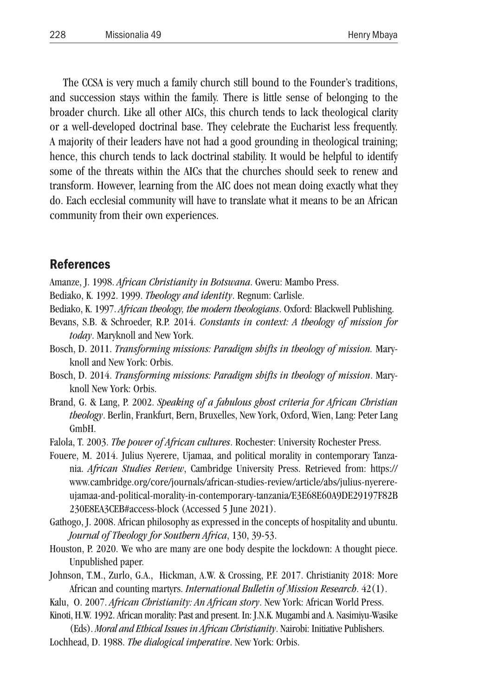The CCSA is very much a family church still bound to the Founder's traditions, and succession stays within the family. There is little sense of belonging to the broader church. Like all other AICs, this church tends to lack theological clarity or a well-developed doctrinal base. They celebrate the Eucharist less frequently. A majority of their leaders have not had a good grounding in theological training; hence, this church tends to lack doctrinal stability. It would be helpful to identify some of the threats within the AICs that the churches should seek to renew and transform. However, learning from the AIC does not mean doing exactly what they do. Each ecclesial community will have to translate what it means to be an African community from their own experiences.

## References

- Amanze, J. 1998. *African Christianity in Botswana*. Gweru: Mambo Press.
- Bediako, K. 1992. 1999. *Theology and identity*. Regnum: Carlisle.
- Bediako, K. 1997. *African theology, the modern theologians*. Oxford: Blackwell Publishing.
- Bevans, S.B. & Schroeder, R.P. 2014. *Constants in context: A theology of mission for today*. Maryknoll and New York.
- Bosch, D. 2011. *Transforming missions: Paradigm shifts in theology of mission.* Maryknoll and New York: Orbis.
- Bosch, D. 2014. *Transforming missions: Paradigm shifts in theology of mission*. Maryknoll New York: Orbis.
- Brand, G. & Lang, P. 2002. *Speaking of a fabulous ghost criteria for African Christian theology*. Berlin, Frankfurt, Bern, Bruxelles, New York, Oxford, Wien, Lang: Peter Lang GmbH.
- Falola, T. 2003. *The power of African cultures*. Rochester: University Rochester Press.
- Fouere, M. 2014. Julius Nyerere, Ujamaa, and political morality in contemporary Tanzania. *African Studies Review*, Cambridge University Press. Retrieved from: https:// www.cambridge.org/core/journals/african-studies-review/article/abs/julius-nyerereujamaa-and-political-morality-in-contemporary-tanzania/E3E68E60A9DE29197F82B 230E8EA3CEB#access-block (Accessed 5 June 2021).
- Gathogo, J. 2008. African philosophy as expressed in the concepts of hospitality and ubuntu. *Journal of Theology for Southern Africa*, 130, 39-53.
- Houston, P. 2020. We who are many are one body despite the lockdown: A thought piece. Unpublished paper.
- Johnson, T.M., Zurlo, G.A., Hickman, A.W. & Crossing, P.F. 2017. Christianity 2018: More African and counting martyrs. *International Bulletin of Mission Research*. 42(1).
- Kalu, O. 2007. *African Christianity: An African story*. New York: African World Press.
- Kinoti, H.W. 1992. African morality: Past and present. In: J.N.K. Mugambi and A. Nasimiyu-Wasike
- (Eds). *Moral and Ethical Issues in African Christianity*. Nairobi: Initiative Publishers. Lochhead, D. 1988. *The dialogical imperative*. New York: Orbis.